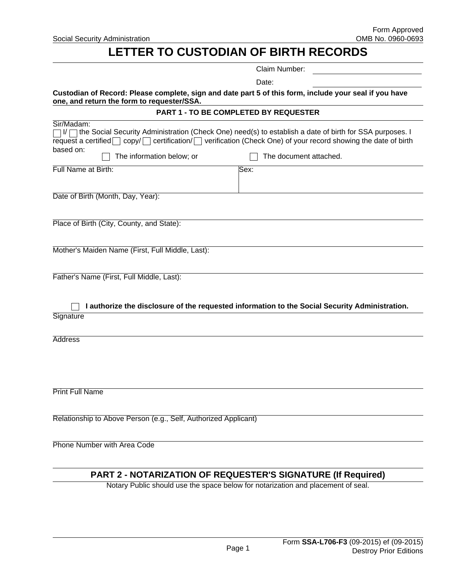**Social Security Administration** 

# **LETTER TO CUSTODIAN OF BIRTH RECORDS**

|                                                                                                                                                      | Claim Number:                                                                                                                                                                                                                    |  |
|------------------------------------------------------------------------------------------------------------------------------------------------------|----------------------------------------------------------------------------------------------------------------------------------------------------------------------------------------------------------------------------------|--|
|                                                                                                                                                      | Date:                                                                                                                                                                                                                            |  |
| Custodian of Record: Please complete, sign and date part 5 of this form, include your seal if you have<br>one, and return the form to requester/SSA. |                                                                                                                                                                                                                                  |  |
|                                                                                                                                                      | PART 1 - TO BE COMPLETED BY REQUESTER                                                                                                                                                                                            |  |
| Sir/Madam:<br>request a certified $\Box$<br>based on:<br>The information below; or                                                                   | I/ □ the Social Security Administration (Check One) need(s) to establish a date of birth for SSA purposes. I<br>copy/ certification/ verification (Check One) of your record showing the date of birth<br>The document attached. |  |
| Full Name at Birth:                                                                                                                                  | Sex:                                                                                                                                                                                                                             |  |
| Date of Birth (Month, Day, Year):                                                                                                                    |                                                                                                                                                                                                                                  |  |
| Place of Birth (City, County, and State):                                                                                                            |                                                                                                                                                                                                                                  |  |
| Mother's Maiden Name (First, Full Middle, Last):                                                                                                     |                                                                                                                                                                                                                                  |  |
| Father's Name (First, Full Middle, Last):                                                                                                            |                                                                                                                                                                                                                                  |  |
| Signature                                                                                                                                            | I authorize the disclosure of the requested information to the Social Security Administration.                                                                                                                                   |  |
| <b>Address</b>                                                                                                                                       |                                                                                                                                                                                                                                  |  |
|                                                                                                                                                      |                                                                                                                                                                                                                                  |  |
| <b>Print Full Name</b>                                                                                                                               |                                                                                                                                                                                                                                  |  |
| Relationship to Above Person (e.g., Self, Authorized Applicant)                                                                                      |                                                                                                                                                                                                                                  |  |
| Phone Number with Area Code                                                                                                                          |                                                                                                                                                                                                                                  |  |

# **PART 2 - NOTARIZATION OF REQUESTER'S SIGNATURE (If Required)**

Notary Public should use the space below for notarization and placement of seal.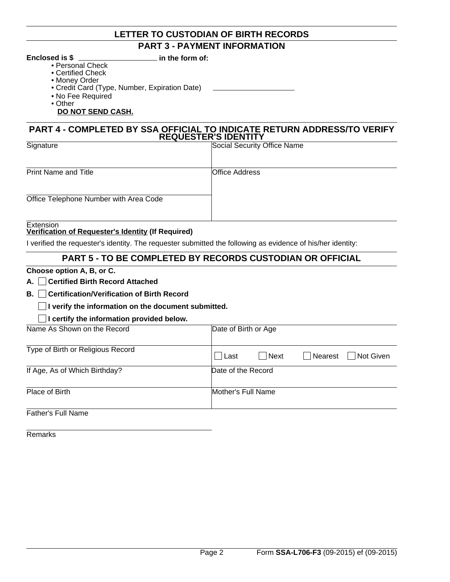# **LETTER TO CUSTODIAN OF BIRTH RECORDS PART 3 - PAYMENT INFORMATION**

**Enclosed is \$**  $\quad \qquad$  in the form of:

- Personal Check
- Certified Check
- Money Order
- Credit Card (Type, Number, Expiration Date)
- No Fee Required
- Other

#### **DO NOT SEND CASH.**

#### **PART 4 - COMPLETED BY SSA OFFICIAL TO INDICATE RETURN ADDRESS/TO VERIFY REQUESTER'S IDENTITY**

| Signature                              | Social Security Office Name |
|----------------------------------------|-----------------------------|
|                                        |                             |
| <b>Print Name and Title</b>            | <b>Office Address</b>       |
|                                        |                             |
| Office Telephone Number with Area Code |                             |
|                                        |                             |
| Extension                              |                             |

#### **Verification of Requester's Identity (If Required)**

I verified the requester's identity. The requester submitted the following as evidence of his/her identity:

## **PART 5 - TO BE COMPLETED BY RECORDS CUSTODIAN OR OFFICIAL**

#### **Choose option A, B, or C.**

**A. Certified Birth Record Attached**

### **B. Certification/Verification of Birth Record**

#### **I** verify the information on the document submitted.

#### **I certify the information provided below.**

| Name As Shown on the Record       | Date of Birth or Age                  |
|-----------------------------------|---------------------------------------|
| Type of Birth or Religious Record | Nearest<br>Not Given<br>Next<br>∣Last |
| If Age, As of Which Birthday?     | Date of the Record                    |
| Place of Birth                    | Mother's Full Name                    |
| Father's Full Name                |                                       |

Remarks